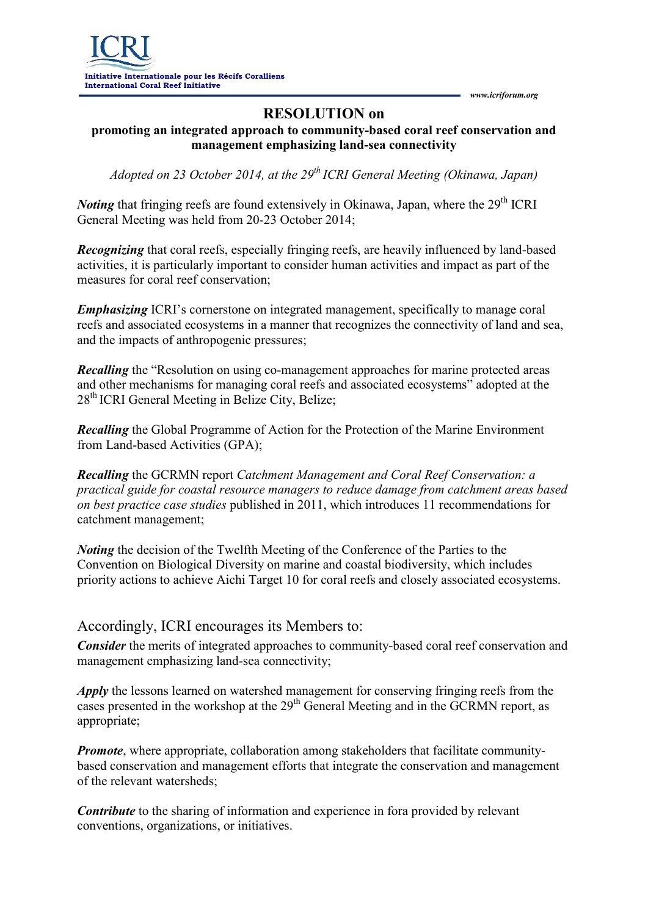*www.icriforum.org*

## **RESOLUTION on**

## **promoting an integrated approach to community-based coral reef conservation and management emphasizing land-sea connectivity**

*Adopted on 23 October 2014, at the 29 th ICRI General Meeting (Okinawa, Japan)*

*Noting* that fringing reefs are found extensively in Okinawa, Japan, where the 29<sup>th</sup> ICRI General Meeting was held from 20-23 October 2014;

*Recognizing* that coral reefs, especially fringing reefs, are heavily influenced by land-based activities, it is particularly important to consider human activities and impact as part of the measures for coral reef conservation;

*Emphasizing* ICRI's cornerstone on integrated management, specifically to manage coral reefs and associated ecosystems in a manner that recognizes the connectivity of land and sea, and the impacts of anthropogenic pressures;

*Recalling* the "Resolution on using co-management approaches for marine protected areas and other mechanisms for managing coral reefs and associated ecosystems" adopted at the 28<sup>th</sup> ICRI General Meeting in Belize City, Belize;

*Recalling* the Global Programme of Action for the Protection of the Marine Environment from Land-based Activities (GPA);

*Recalling* the GCRMN report *Catchment Management and Coral Reef Conservation: a practical guide for coastal resource managers to reduce damage from catchment areas based on best practice case studies* published in 2011, which introduces 11 recommendations for catchment management;

*Noting* the decision of the Twelfth Meeting of the Conference of the Parties to the Convention on Biological Diversity on marine and coastal biodiversity, which includes priority actions to achieve Aichi Target 10 for coral reefs and closely associated ecosystems.

## Accordingly, ICRI encourages its Members to:

*Consider* the merits of integrated approaches to community-based coral reef conservation and management emphasizing land-sea connectivity;

*Apply* the lessons learned on watershed management for conserving fringing reefs from the cases presented in the workshop at the 29<sup>th</sup> General Meeting and in the GCRMN report, as appropriate;

*Promote*, where appropriate, collaboration among stakeholders that facilitate communitybased conservation and management efforts that integrate the conservation and management of the relevant watersheds;

*Contribute* to the sharing of information and experience in fora provided by relevant conventions, organizations, or initiatives.